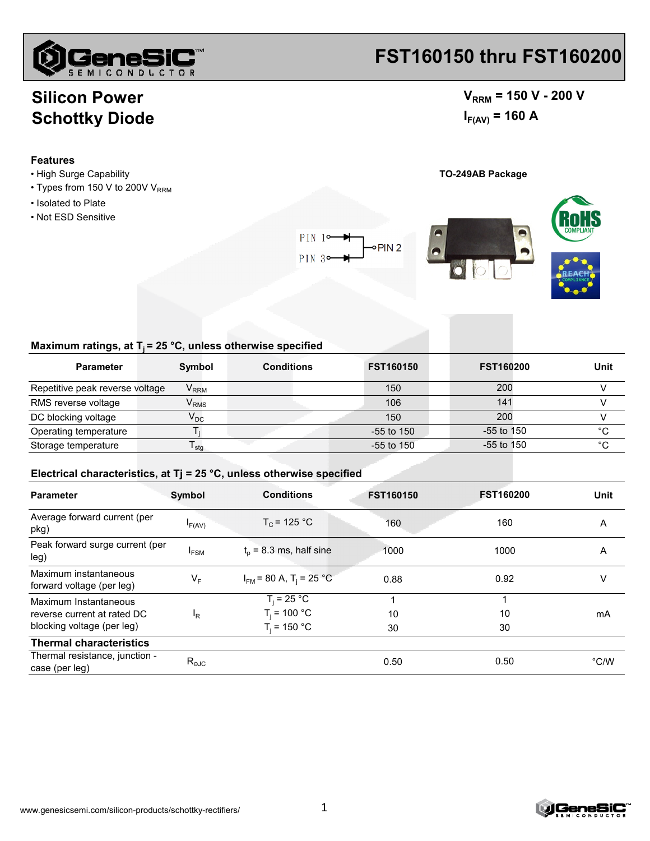

# **FST160150 thru FST160200**

## $V_{RRM}$  = 150 V - 200 V  $I_{F(AV)} = 160 A$

## **Silicon Power Schottky Diode**

#### **Features**

- High Surge Capability **TO-249AB Package**
- Types from 150 V to 200V  $V_{RRM}$
- Isolated to Plate
- Not ESD Sensitive

 $PIN$  1 $\circ$ oPIN<sub>2</sub> PIN<sub>3</sub>





### Maximum ratings, at T<sub>j</sub> = 25 °C, unless otherwise specified

| <b>Parameter</b>                | Symbol                   | <b>Conditions</b> | <b>FST160150</b> | <b>FST160200</b> | Unit |
|---------------------------------|--------------------------|-------------------|------------------|------------------|------|
| Repetitive peak reverse voltage | $V_{\rm{RRM}}$           |                   | 150              | 200              |      |
| RMS reverse voltage             | $V_{RMS}$                |                   | 106              | 141              |      |
| DC blocking voltage             | $\mathsf{V}_\mathsf{DC}$ |                   | 150              | 200              |      |
| Operating temperature           |                          |                   | $-55$ to 150     | $-55$ to 150     | °C   |
| Storage temperature             | <sup>l</sup> stq         |                   | -55 to 150       | $-55$ to 150     | °C   |

#### **Electrical characteristics, at Tj = 25 °C, unless otherwise specified**

| <b>Parameter</b>                                   | Symbol           | <b>Conditions</b>                       | <b>FST160150</b> | <b>FST160200</b> | Unit          |
|----------------------------------------------------|------------------|-----------------------------------------|------------------|------------------|---------------|
| Average forward current (per<br>pkg)               | $I_{F(AV)}$      | $T_c$ = 125 °C                          | 160              | 160              | Α             |
| Peak forward surge current (per<br>leg)            | <sup>I</sup> FSM | $t_0$ = 8.3 ms, half sine               | 1000             | 1000             | Α             |
| Maximum instantaneous<br>forward voltage (per leg) | $V_F$            | $I_{FM}$ = 80 A, T <sub>i</sub> = 25 °C | 0.88             | 0.92             | v             |
| Maximum Instantaneous                              |                  | $T_i = 25 °C$                           |                  |                  |               |
| reverse current at rated DC                        | $I_R$            | $T_i = 100 °C$                          | 10               | 10               | mA            |
| blocking voltage (per leg)                         |                  | $T_i = 150 °C$                          | 30               | 30               |               |
| <b>Thermal characteristics</b>                     |                  |                                         |                  |                  |               |
| Thermal resistance, junction -<br>case (per leg)   | $R_{\text{eJC}}$ |                                         | 0.50             | 0.50             | $\degree$ C/W |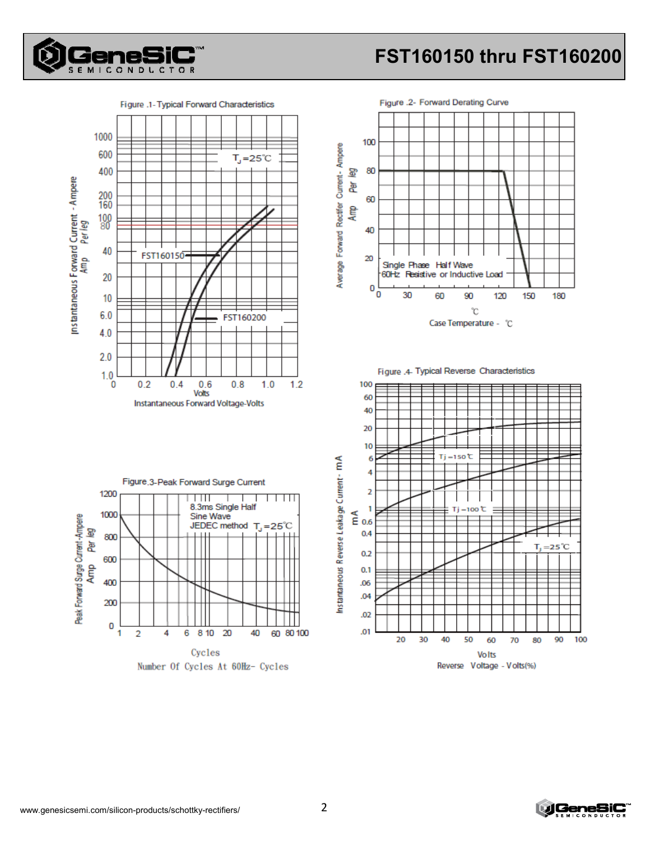

# FST160150 thru FST160200

Figure .1- Typical Forward Characteristics 1000 600  $T_{J}$ =25°C 400 Instantaneous Forward Current - Ampere 200 160  $\frac{100}{80}$ 40 FST160150 20  $10$  $6.0$ FST160200  $4.0$  $2.0$  $1.0$  $0.2$  $0.6$  $0.8$  $1.0$  $1.2$  $\overline{0}$  $0.4$ Volts Instantaneous Forward Voltage-Volts